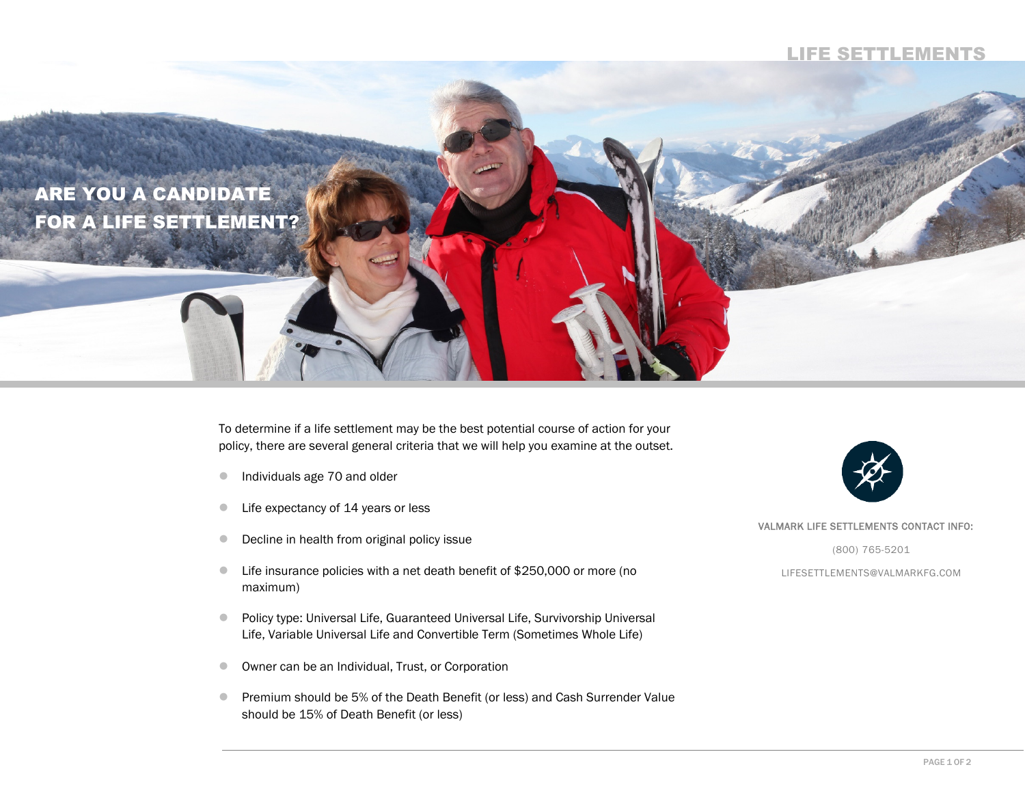## LIFE SETTLEMENTS



To determine if a life settlement may be the best potential course of action for your policy, there are several general criteria that we will help you examine at the outset.

- $\bullet$ Individuals age 70 and older
- $\bullet$ Life expectancy of 14 years or less
- $\bullet$ Decline in health from original policy issue
- $\bullet$  Life insurance policies with a net death benefit of \$250,000 or more (no maximum)
- $\bullet$  Policy type: Universal Life, Guaranteed Universal Life, Survivorship Universal Life, Variable Universal Life and Convertible Term (Sometimes Whole Life)
- $\bullet$ Owner can be an Individual, Trust, or Corporation
- $\bullet$  Premium should be 5% of the Death Benefit (or less) and Cash Surrender Value should be 15% of Death Benefit (or less)



## VALMARK LIFE SETTLEMENTS CONTACT INFO:

(800) 765-5201

LIFESETTLEMENTS@VALMARKFG.COM